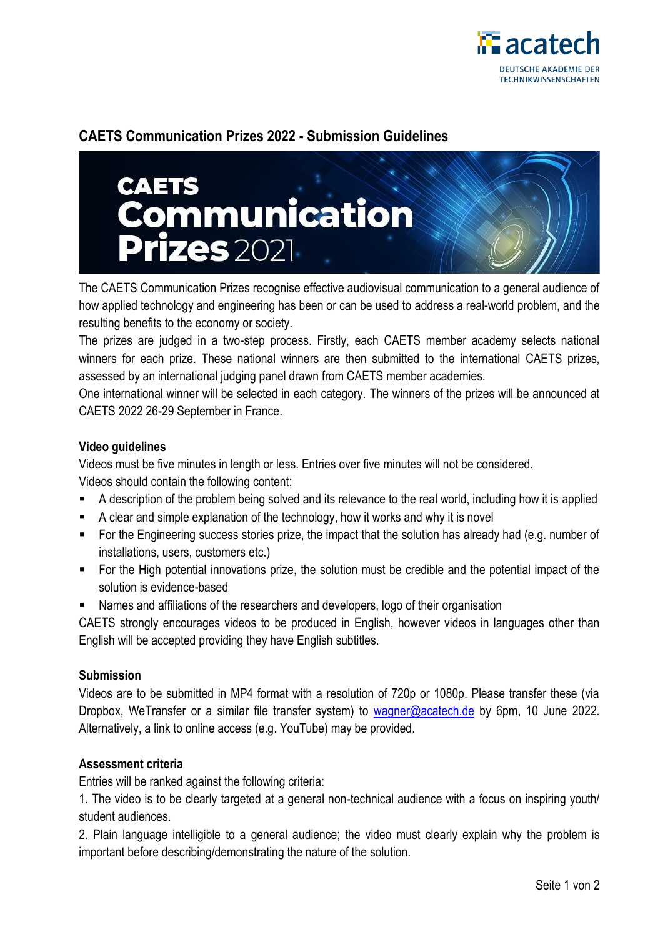

# **CAETS Communication Prizes 2022 - Submission Guidelines**



The CAETS Communication Prizes recognise effective audiovisual communication to a general audience of how applied technology and engineering has been or can be used to address a real-world problem, and the resulting benefits to the economy or society.

The prizes are judged in a two-step process. Firstly, each CAETS member academy selects national winners for each prize. These national winners are then submitted to the international CAETS prizes, assessed by an international judging panel drawn from CAETS member academies.

One international winner will be selected in each category. The winners of the prizes will be announced at CAETS 2022 26-29 September in France.

## **Video guidelines**

Videos must be five minutes in length or less. Entries over five minutes will not be considered. Videos should contain the following content:

- A description of the problem being solved and its relevance to the real world, including how it is applied
- A clear and simple explanation of the technology, how it works and why it is novel
- For the Engineering success stories prize, the impact that the solution has already had (e.g. number of installations, users, customers etc.)
- For the High potential innovations prize, the solution must be credible and the potential impact of the solution is evidence-based
- Names and affiliations of the researchers and developers, logo of their organisation

CAETS strongly encourages videos to be produced in English, however videos in languages other than English will be accepted providing they have English subtitles.

## **Submission**

Videos are to be submitted in MP4 format with a resolution of 720p or 1080p. Please transfer these (via Dropbox, WeTransfer or a similar file transfer system) to [wagner@acatech.de](mailto:wagner@acatech.de) by 6pm, 10 June 2022. Alternatively, a link to online access (e.g. YouTube) may be provided.

## **Assessment criteria**

Entries will be ranked against the following criteria:

1. The video is to be clearly targeted at a general non-technical audience with a focus on inspiring youth/ student audiences.

2. Plain language intelligible to a general audience; the video must clearly explain why the problem is important before describing/demonstrating the nature of the solution.